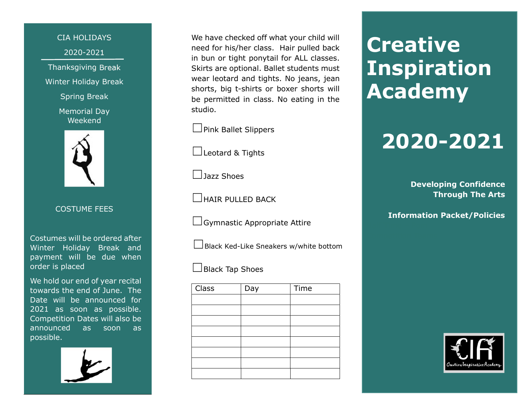CIA HOLIDAYS 2020-2021 Thanksgiving Break Winter Holiday Break

Spring Break

Memorial Day Weekend



COSTUME FEES

Costumes will be ordered after Winter Holiday Break and payment will be due when order is placed

We hold our end of year recital towards the end of June. The Date will be announced for 2021 as soon as possible. Competition Dates will also be announced as soon as possible.

We have checked off what your child will need for his/her class. Hair pulled back in bun or tight ponytail for ALL classes. Skirts are optional. Ballet students must wear leotard and tights. No jeans, jean shorts, big t-shirts or boxer shorts will be permitted in class. No eating in the studio.

□ Pink Ballet Slippers

☐Leotard & Tights

☐Jazz Shoes

☐HAIR PULLED BACK

 $\Box$ Gymnastic Appropriate Attire

 $\Box$ Black Ked-Like Sneakers w/white bottom

☐Black Tap Shoes

| <b>Class</b> | Day | Time |
|--------------|-----|------|
|              |     |      |
|              |     |      |
|              |     |      |
|              |     |      |
|              |     |      |
|              |     |      |
|              |     |      |
|              |     |      |

# **Creative Inspiration** Academy

# 2020-2021

Developing Confidence Through The Arts

Information Packet/Policies